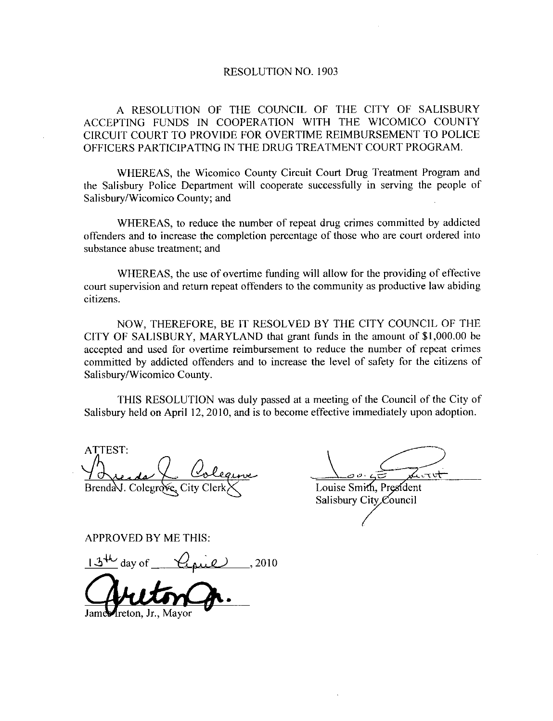## RESOLUTION NO. 1903

A RESOLUTION OF THE COUNCIL OF THE CITY OF SALISBURY ACCEPTING FUNDS IN COOPERATION WITH THE WICOMICO COUNTY CIRCUIT COURT TO PROVIDE FOR OVERTTME REIMBURSEMENT TO POLICE OFFICERS PARTICIPATING IN THE DRUG TREATMENT COURT PROGRAM

WHEREAS, the Wicomico County Circuit Court Drug Treatment Program and the Salisbury Police Department will cooperate successfully in serving the people of Salisbury/Wicomico County; and

WHEREAS to reduce the number of repeat drug crimes committed by addicted offenders and to increase the completion percentage of those who are court ordered into substance abuse treatment; and

WHEREAS, the use of overtime funding will allow for the providing of effective court supervision and return repeat offenders to the community as productive law abiding citizens

NOW, THEREFORE, BE IT RESOLVED BY THE CITY COUNCIL OF THE CITY OF SALISBURY, MARYLAND that grant funds in the amount of \$1,000.00 be WHEREAS, the use of overthe randing win allow for the providing of encerved<br>court supervision and return repeat offenders to the community as productive law abiding<br>citizens.<br>NOW, THEREFORE, BE IT RESOLVED BY THE CITY COUN committed by addicted offenders and to increase the level of safety for the citizens of Salisbury/Wicomico County.

THIS RESOLUTION was duly passed at ameeting of the Council of the City of Salisbury held on April 12, 2010, and is to become effective immediately upon adoption.

ATTEST  $Brend\&\cup$  Colegrove, City Clerk  $\times$  Louise Smith, President

 $\frac{1}{\sqrt{1-\frac{1}{1-\omega^2}}}$  $\tau$ vt $\pm$ 

Salisbury City Council

APPROVED BY ME THIS

 $13<sup>4</sup>$  day of  $\left( \frac{21}{10}\right)$ , 2010

reton, Jr., Mayor